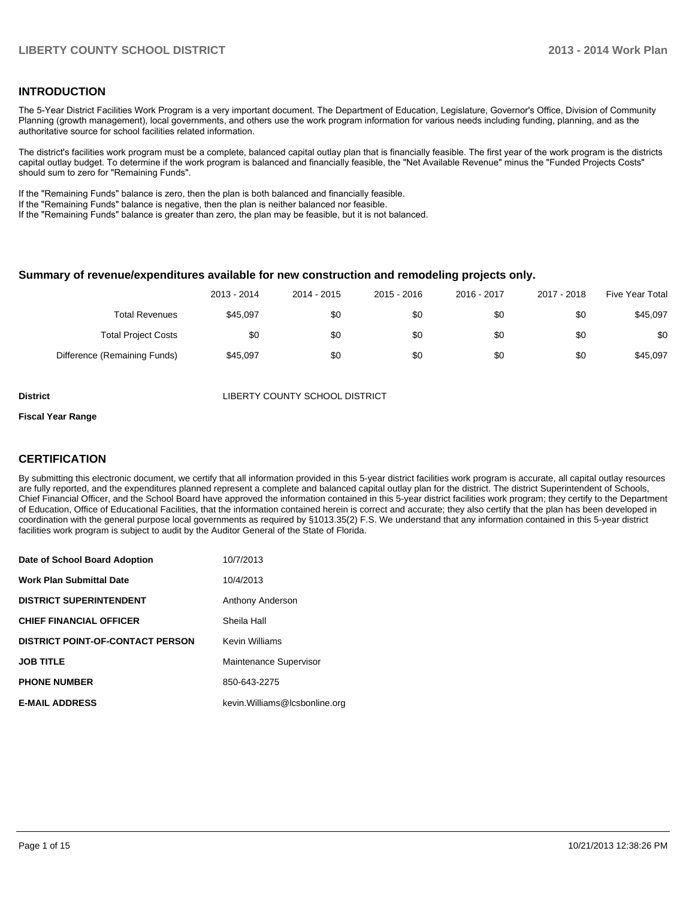#### **INTRODUCTION**

The 5-Year District Facilities Work Program is a very important document. The Department of Education, Legislature, Governor's Office, Division of Community Planning (growth management), local governments, and others use the work program information for various needs including funding, planning, and as the authoritative source for school facilities related information.

The district's facilities work program must be a complete, balanced capital outlay plan that is financially feasible. The first year of the work program is the districts capital outlay budget. To determine if the work program is balanced and financially feasible, the "Net Available Revenue" minus the "Funded Projects Costs" should sum to zero for "Remaining Funds".

If the "Remaining Funds" balance is zero, then the plan is both balanced and financially feasible.

If the "Remaining Funds" balance is negative, then the plan is neither balanced nor feasible.

If the "Remaining Funds" balance is greater than zero, the plan may be feasible, but it is not balanced.

#### **Summary of revenue/expenditures available for new construction and remodeling projects only.**

|                              | 2013 - 2014 | 2014 - 2015 | 2015 - 2016 | 2016 - 2017 | 2017 - 2018 | <b>Five Year Total</b> |
|------------------------------|-------------|-------------|-------------|-------------|-------------|------------------------|
| <b>Total Revenues</b>        | \$45.097    | \$0         | \$0         | \$0         | \$0         | \$45.097               |
| <b>Total Project Costs</b>   | \$0         | \$0         | \$0         | \$0         | \$0         | \$0                    |
| Difference (Remaining Funds) | \$45,097    | \$0         | \$0         | \$0         | \$0         | \$45,097               |

**District COUNTY SCHOOL DISTRICT** 

#### **Fiscal Year Range**

#### **CERTIFICATION**

By submitting this electronic document, we certify that all information provided in this 5-year district facilities work program is accurate, all capital outlay resources are fully reported, and the expenditures planned represent a complete and balanced capital outlay plan for the district. The district Superintendent of Schools, Chief Financial Officer, and the School Board have approved the information contained in this 5-year district facilities work program; they certify to the Department of Education, Office of Educational Facilities, that the information contained herein is correct and accurate; they also certify that the plan has been developed in coordination with the general purpose local governments as required by §1013.35(2) F.S. We understand that any information contained in this 5-year district facilities work program is subject to audit by the Auditor General of the State of Florida.

| Date of School Board Adoption           | 10/7/2013                      |
|-----------------------------------------|--------------------------------|
| <b>Work Plan Submittal Date</b>         | 10/4/2013                      |
| <b>DISTRICT SUPERINTENDENT</b>          | Anthony Anderson               |
| <b>CHIEF FINANCIAL OFFICER</b>          | Sheila Hall                    |
| <b>DISTRICT POINT-OF-CONTACT PERSON</b> | <b>Kevin Williams</b>          |
| <b>JOB TITLE</b>                        | Maintenance Supervisor         |
| <b>PHONE NUMBER</b>                     | 850-643-2275                   |
| <b>E-MAIL ADDRESS</b>                   | kevin. Williams@lcsbonline.org |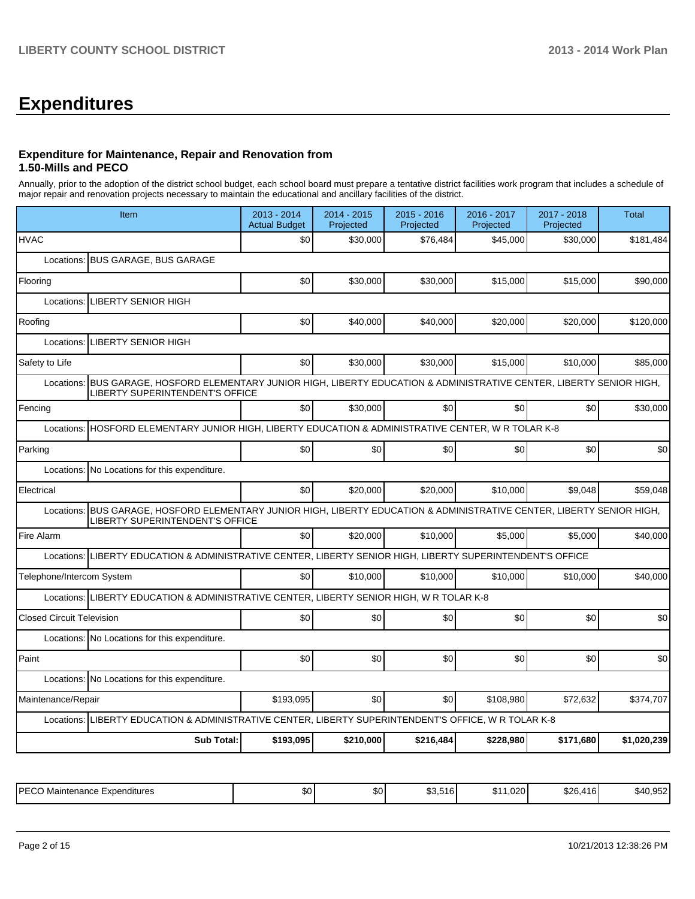## **Expenditures**

#### **Expenditure for Maintenance, Repair and Renovation from 1.50-Mills and PECO**

Annually, prior to the adoption of the district school budget, each school board must prepare a tentative district facilities work program that includes a schedule of major repair and renovation projects necessary to maintain the educational and ancillary facilities of the district.

| Item                                                                                                                                                                | 2013 - 2014<br><b>Actual Budget</b> | 2014 - 2015<br>Projected | 2015 - 2016<br>Projected | 2016 - 2017<br>Projected | 2017 - 2018<br>Projected | <b>Total</b> |  |  |  |
|---------------------------------------------------------------------------------------------------------------------------------------------------------------------|-------------------------------------|--------------------------|--------------------------|--------------------------|--------------------------|--------------|--|--|--|
| <b>HVAC</b>                                                                                                                                                         | \$0                                 | \$30,000                 | \$76,484                 | \$45,000                 | \$30,000                 | \$181,484    |  |  |  |
| Locations: BUS GARAGE, BUS GARAGE                                                                                                                                   |                                     |                          |                          |                          |                          |              |  |  |  |
| Flooring                                                                                                                                                            | \$0                                 | \$30,000                 | \$30,000                 | \$15,000                 | \$15,000                 | \$90,000     |  |  |  |
| <b>LIBERTY SENIOR HIGH</b><br>Locations:                                                                                                                            |                                     |                          |                          |                          |                          |              |  |  |  |
| Roofing                                                                                                                                                             | \$0                                 | \$40,000                 | \$40,000                 | \$20,000                 | \$20,000                 | \$120,000    |  |  |  |
| Locations:<br><b>LIBERTY SENIOR HIGH</b>                                                                                                                            |                                     |                          |                          |                          |                          |              |  |  |  |
| Safety to Life                                                                                                                                                      | \$0                                 | \$30,000                 | \$30,000                 | \$15,000                 | \$10,000                 | \$85,000     |  |  |  |
| BUS GARAGE, HOSFORD ELEMENTARY JUNIOR HIGH, LIBERTY EDUCATION & ADMINISTRATIVE CENTER, LIBERTY SENIOR HIGH,<br>Locations:<br><b>LIBERTY SUPERINTENDENT'S OFFICE</b> |                                     |                          |                          |                          |                          |              |  |  |  |
| Fencing                                                                                                                                                             | \$0 <sub>l</sub>                    | \$30,000                 | \$0                      | \$0                      | \$0                      | \$30,000     |  |  |  |
| HOSFORD ELEMENTARY JUNIOR HIGH, LIBERTY EDUCATION & ADMINISTRATIVE CENTER, W R TOLAR K-8<br>Locations:                                                              |                                     |                          |                          |                          |                          |              |  |  |  |
| Parking                                                                                                                                                             | \$0                                 | \$0                      | \$0                      | \$0                      | \$0                      | \$0          |  |  |  |
| Locations:<br>No Locations for this expenditure.                                                                                                                    |                                     |                          |                          |                          |                          |              |  |  |  |
| Electrical                                                                                                                                                          | \$0                                 | \$20,000                 | \$20,000                 | \$10,000                 | \$9,048                  | \$59,048     |  |  |  |
| BUS GARAGE, HOSFORD ELEMENTARY JUNIOR HIGH, LIBERTY EDUCATION & ADMINISTRATIVE CENTER, LIBERTY SENIOR HIGH,<br>Locations:<br>LIBERTY SUPERINTENDENT'S OFFICE        |                                     |                          |                          |                          |                          |              |  |  |  |
| Fire Alarm                                                                                                                                                          | \$0                                 | \$20,000                 | \$10,000                 | \$5,000                  | \$5,000                  | \$40,000     |  |  |  |
| LIBERTY EDUCATION & ADMINISTRATIVE CENTER, LIBERTY SENIOR HIGH, LIBERTY SUPERINTENDENT'S OFFICE<br>Locations:                                                       |                                     |                          |                          |                          |                          |              |  |  |  |
| Telephone/Intercom System                                                                                                                                           | \$0                                 | \$10,000                 | \$10,000                 | \$10,000                 | \$10,000                 | \$40,000     |  |  |  |
| LIBERTY EDUCATION & ADMINISTRATIVE CENTER, LIBERTY SENIOR HIGH, W R TOLAR K-8<br>Locations:                                                                         |                                     |                          |                          |                          |                          |              |  |  |  |
| <b>Closed Circuit Television</b>                                                                                                                                    | \$0                                 | \$0                      | \$0                      | \$0                      | \$0                      | \$0          |  |  |  |
| Locations: No Locations for this expenditure.                                                                                                                       |                                     |                          |                          |                          |                          |              |  |  |  |
| Paint                                                                                                                                                               | \$0                                 | \$0                      | \$0                      | \$0                      | \$0                      | \$0          |  |  |  |
| Locations: No Locations for this expenditure.                                                                                                                       |                                     |                          |                          |                          |                          |              |  |  |  |
| Maintenance/Repair                                                                                                                                                  | \$193,095                           | \$0                      | \$0                      | \$108.980                | \$72.632                 | \$374,707    |  |  |  |
| LIBERTY EDUCATION & ADMINISTRATIVE CENTER, LIBERTY SUPERINTENDENT'S OFFICE, W R TOLAR K-8<br>Locations:                                                             |                                     |                          |                          |                          |                          |              |  |  |  |
| <b>Sub Total:</b>                                                                                                                                                   | \$193,095                           | \$210,000                | \$216,484                | \$228,980                | \$171,680                | \$1,020,239  |  |  |  |

| IPFCO<br>) Maintenance Expenditures<br>∟ບບ | ጡ ጦ<br>Ψ∪ | m.n<br>DU. | F A<br>$\sim$<br>\$3.516 | $\sim$<br>. .<br>.,020 L<br>. | 0.00<br>\$26,416 | $-0.70$<br>.s4C<br>$\overline{\mathbf{H}}$<br>740.JJZ. |
|--------------------------------------------|-----------|------------|--------------------------|-------------------------------|------------------|--------------------------------------------------------|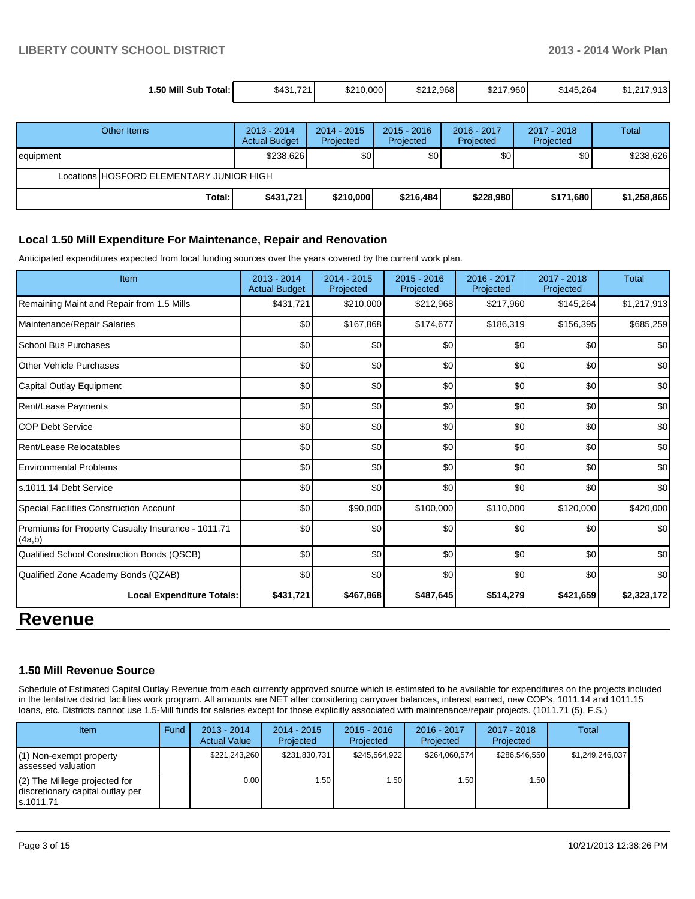| 1.50 Mill Sub Total: | \$431.721 | \$210,000 | \$212.968 | \$217,960 | \$145.264 | \$1.217.913 |
|----------------------|-----------|-----------|-----------|-----------|-----------|-------------|

|           | Other Items                              | $2013 - 2014$<br><b>Actual Budget</b> | $2014 - 2015$<br>Projected | $2015 - 2016$<br>Projected | 2016 - 2017<br>Projected | 2017 - 2018<br>Projected | Total       |
|-----------|------------------------------------------|---------------------------------------|----------------------------|----------------------------|--------------------------|--------------------------|-------------|
| equipment |                                          | \$238,626                             | \$0                        | \$0                        | \$0 <sub>1</sub>         | \$0                      | \$238,626   |
|           | Locations HOSFORD ELEMENTARY JUNIOR HIGH |                                       |                            |                            |                          |                          |             |
|           | Total:                                   | \$431,721                             | \$210,000                  | \$216,484                  | \$228,980                | \$171,680                | \$1,258,865 |

#### **Local 1.50 Mill Expenditure For Maintenance, Repair and Renovation**

Anticipated expenditures expected from local funding sources over the years covered by the current work plan.

| Item                                                         | 2013 - 2014<br><b>Actual Budget</b> | 2014 - 2015<br>Projected | $2015 - 2016$<br>Projected | $2016 - 2017$<br>Projected | $2017 - 2018$<br>Projected | <b>Total</b> |
|--------------------------------------------------------------|-------------------------------------|--------------------------|----------------------------|----------------------------|----------------------------|--------------|
| Remaining Maint and Repair from 1.5 Mills                    | \$431,721                           | \$210,000                | \$212,968                  | \$217,960                  | \$145,264                  | \$1,217,913  |
| Maintenance/Repair Salaries                                  | \$0                                 | \$167,868                | \$174,677                  | \$186,319                  | \$156,395                  | \$685,259    |
| <b>School Bus Purchases</b>                                  | \$0                                 | \$0                      | \$0                        | \$0                        | \$0                        | \$0          |
| <b>Other Vehicle Purchases</b>                               | \$0                                 | \$0                      | \$0                        | \$0                        | \$0                        | \$0          |
| <b>Capital Outlay Equipment</b>                              | \$0                                 | \$0                      | \$0                        | \$0                        | \$0                        | \$0          |
| Rent/Lease Payments                                          | \$0                                 | \$0                      | \$0                        | \$0                        | \$0                        | \$0          |
| <b>COP Debt Service</b>                                      | \$0                                 | \$0                      | \$0                        | \$0                        | \$0                        | \$0          |
| Rent/Lease Relocatables                                      | \$0                                 | \$0                      | \$0                        | \$0                        | \$0                        | \$0          |
| <b>Environmental Problems</b>                                | \$0                                 | \$0                      | \$0                        | \$0                        | \$0                        | \$0          |
| s.1011.14 Debt Service                                       | \$0                                 | \$0                      | \$0                        | \$0                        | \$0                        | \$0          |
| Special Facilities Construction Account                      | \$0                                 | \$90,000                 | \$100,000                  | \$110,000                  | \$120,000                  | \$420,000    |
| Premiums for Property Casualty Insurance - 1011.71<br>(4a,b) | \$0                                 | \$0                      | \$0                        | \$0                        | \$0                        | \$0          |
| Qualified School Construction Bonds (QSCB)                   | \$0                                 | \$0                      | \$0                        | \$0                        | \$0                        | \$0          |
| Qualified Zone Academy Bonds (QZAB)                          | \$0                                 | \$0                      | \$0                        | \$0                        | \$0                        | \$0          |
| <b>Local Expenditure Totals:</b>                             | \$431,721                           | \$467,868                | \$487,645                  | \$514,279                  | \$421,659                  | \$2,323,172  |
|                                                              |                                     |                          |                            |                            |                            |              |

### **Revenue**

#### **1.50 Mill Revenue Source**

Schedule of Estimated Capital Outlay Revenue from each currently approved source which is estimated to be available for expenditures on the projects included in the tentative district facilities work program. All amounts are NET after considering carryover balances, interest earned, new COP's, 1011.14 and 1011.15 loans, etc. Districts cannot use 1.5-Mill funds for salaries except for those explicitly associated with maintenance/repair projects. (1011.71 (5), F.S.)

| <b>Item</b>                                                                       | Fund | $2013 - 2014$<br><b>Actual Value</b> | $2014 - 2015$<br>Projected | $2015 - 2016$<br>Projected | $2016 - 2017$<br>Projected | $2017 - 2018$<br>Projected | Total           |
|-----------------------------------------------------------------------------------|------|--------------------------------------|----------------------------|----------------------------|----------------------------|----------------------------|-----------------|
| $(1)$ Non-exempt property<br>lassessed valuation                                  |      | \$221,243,260                        | \$231,830,731              | \$245.564.922              | \$264.060.574              | \$286.546.550              | \$1.249.246.037 |
| $(2)$ The Millege projected for<br>discretionary capital outlay per<br>ls.1011.71 |      | 0.00                                 | .501                       | 1.50                       | 1.50 I                     | 1.50                       |                 |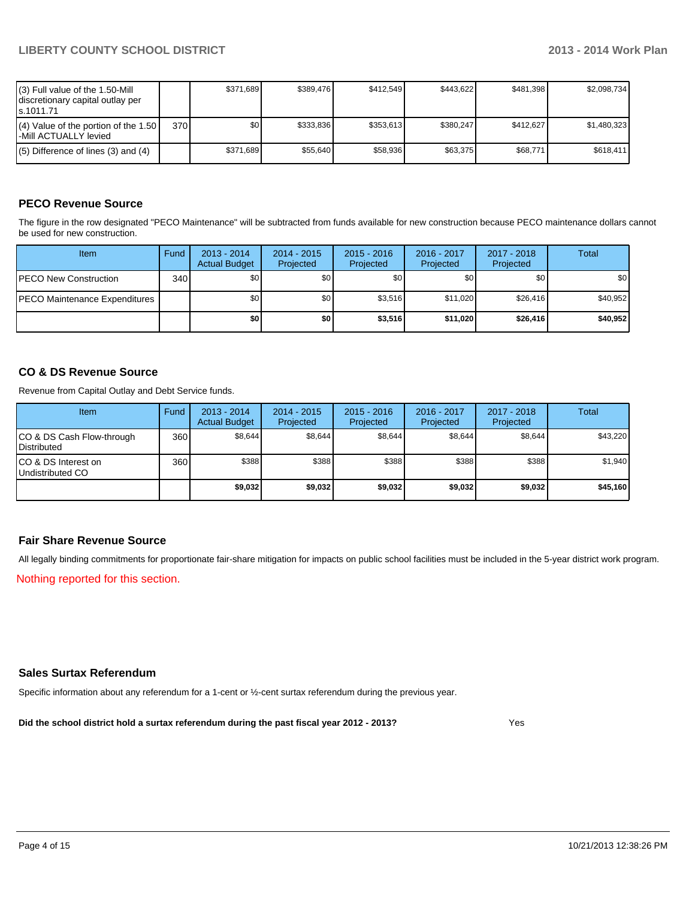| $(3)$ Full value of the 1.50-Mill<br>discretionary capital outlay per<br>ls.1011.71 |                  | \$371.689 | \$389.476 | \$412.549 | \$443.622 | \$481.398 | \$2,098,734 |
|-------------------------------------------------------------------------------------|------------------|-----------|-----------|-----------|-----------|-----------|-------------|
| $(4)$ Value of the portion of the 1.50<br>I-Mill ACTUALLY levied                    | 370 <sup>1</sup> | \$O I     | \$333.836 | \$353.613 | \$380.247 | \$412.627 | \$1,480,323 |
| $(5)$ Difference of lines $(3)$ and $(4)$                                           |                  | \$371.689 | \$55.640  | \$58,936  | \$63.375  | \$68,771  | \$618.411   |

#### **PECO Revenue Source**

The figure in the row designated "PECO Maintenance" will be subtracted from funds available for new construction because PECO maintenance dollars cannot be used for new construction.

| Item                                  | Fund | $2013 - 2014$<br><b>Actual Budget</b> | $2014 - 2015$<br>Projected | $2015 - 2016$<br>Projected | 2016 - 2017<br>Projected | 2017 - 2018<br>Projected | Total    |
|---------------------------------------|------|---------------------------------------|----------------------------|----------------------------|--------------------------|--------------------------|----------|
| <b>IPECO New Construction</b>         | 340  | \$0                                   | \$0                        | \$0                        | \$0 <sub>0</sub>         | \$0                      | \$0      |
| <b>IPECO Maintenance Expenditures</b> |      | \$0 <sub>1</sub>                      | \$0 <sub>1</sub>           | \$3.516                    | \$11.020                 | \$26.416                 | \$40,952 |
|                                       |      | \$0                                   | \$0                        | \$3,516                    | \$11,020                 | \$26.416                 | \$40,952 |

#### **CO & DS Revenue Source**

Revenue from Capital Outlay and Debt Service funds.

| Item                                               | Fund | $2013 - 2014$<br><b>Actual Budget</b> | $2014 - 2015$<br>Projected | $2015 - 2016$<br>Projected | $2016 - 2017$<br>Projected | $2017 - 2018$<br>Projected | Total    |
|----------------------------------------------------|------|---------------------------------------|----------------------------|----------------------------|----------------------------|----------------------------|----------|
| ICO & DS Cash Flow-through<br><b>I</b> Distributed | 360  | \$8,644                               | \$8,644                    | \$8,644                    | \$8,644                    | \$8,644                    | \$43,220 |
| ICO & DS Interest on<br>Undistributed CO           | 360  | \$388                                 | \$388                      | \$388                      | \$388                      | \$388                      | \$1,940  |
|                                                    |      | \$9,032                               | \$9,032                    | \$9,032                    | \$9,032                    | \$9,032                    | \$45,160 |

#### **Fair Share Revenue Source**

All legally binding commitments for proportionate fair-share mitigation for impacts on public school facilities must be included in the 5-year district work program.

Nothing reported for this section.

#### **Sales Surtax Referendum**

Specific information about any referendum for a 1-cent or ½-cent surtax referendum during the previous year.

**Did the school district hold a surtax referendum during the past fiscal year 2012 - 2013?**

Yes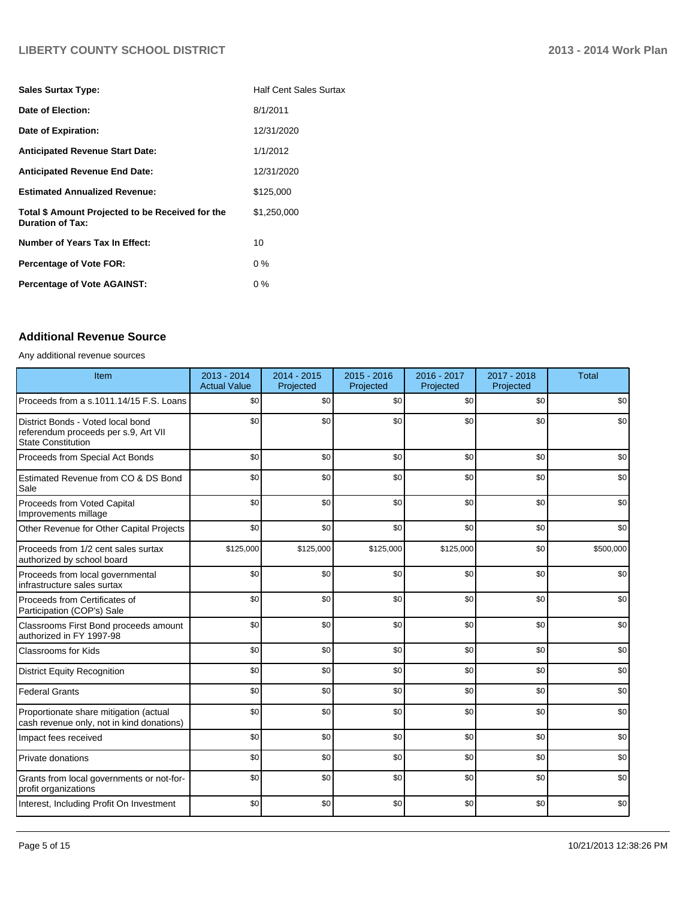#### **LIBERTY COUNTY SCHOOL DISTRICT 2013 - 2014 Work Plan**

| <b>Sales Surtax Type:</b>                                                   | <b>Half Cent Sales Surtax</b> |
|-----------------------------------------------------------------------------|-------------------------------|
| Date of Election:                                                           | 8/1/2011                      |
| Date of Expiration:                                                         | 12/31/2020                    |
| <b>Anticipated Revenue Start Date:</b>                                      | 1/1/2012                      |
| <b>Anticipated Revenue End Date:</b>                                        | 12/31/2020                    |
| <b>Estimated Annualized Revenue:</b>                                        | \$125,000                     |
| Total \$ Amount Projected to be Received for the<br><b>Duration of Tax:</b> | \$1,250,000                   |
| <b>Number of Years Tax In Effect:</b>                                       | 10                            |
| <b>Percentage of Vote FOR:</b>                                              | $0\%$                         |
| <b>Percentage of Vote AGAINST:</b>                                          | $0\%$                         |

#### **Additional Revenue Source**

#### Any additional revenue sources

| Item                                                                                            | 2013 - 2014<br><b>Actual Value</b> | $2014 - 2015$<br>Projected | $2015 - 2016$<br>Projected | 2016 - 2017<br>Projected | 2017 - 2018<br>Projected | <b>Total</b> |
|-------------------------------------------------------------------------------------------------|------------------------------------|----------------------------|----------------------------|--------------------------|--------------------------|--------------|
| Proceeds from a s.1011.14/15 F.S. Loans                                                         | \$0                                | \$0                        | \$0                        | \$0                      | \$0                      | \$0          |
| District Bonds - Voted local bond<br>referendum proceeds per s.9, Art VII<br>State Constitution | \$0                                | \$0                        | \$0                        | \$0                      | \$0                      | \$0          |
| Proceeds from Special Act Bonds                                                                 | \$0                                | \$0                        | \$0                        | \$0                      | \$0                      | \$0          |
| Estimated Revenue from CO & DS Bond<br>Sale                                                     | \$0                                | \$0                        | \$0                        | \$0                      | \$0                      | \$0          |
| Proceeds from Voted Capital<br>Improvements millage                                             | \$0                                | \$0                        | \$0                        | \$0                      | \$0                      | \$0          |
| Other Revenue for Other Capital Projects                                                        | \$0                                | \$0                        | \$0                        | \$0                      | \$0                      | \$0          |
| Proceeds from 1/2 cent sales surtax<br>authorized by school board                               | \$125,000                          | \$125,000                  | \$125,000                  | \$125,000                | \$0                      | \$500,000    |
| Proceeds from local governmental<br>infrastructure sales surtax                                 | \$0                                | \$0                        | \$0                        | \$0                      | \$0                      | \$0          |
| Proceeds from Certificates of<br>Participation (COP's) Sale                                     | \$0                                | \$0                        | \$0                        | \$0                      | \$0                      | \$0          |
| Classrooms First Bond proceeds amount<br>authorized in FY 1997-98                               | \$0                                | \$0                        | \$0                        | \$0                      | \$0                      | \$0          |
| <b>Classrooms for Kids</b>                                                                      | \$0                                | \$0                        | \$0                        | \$0                      | \$0                      | \$0          |
| <b>District Equity Recognition</b>                                                              | \$0                                | \$0                        | \$0                        | \$0                      | \$0                      | \$0          |
| <b>Federal Grants</b>                                                                           | \$0                                | \$0                        | \$0                        | \$0                      | \$0                      | \$0          |
| Proportionate share mitigation (actual<br>cash revenue only, not in kind donations)             | \$0                                | \$0                        | \$0                        | \$0                      | \$0                      | \$0          |
| Impact fees received                                                                            | \$0                                | \$0                        | \$0                        | \$0                      | \$0                      | \$0          |
| <b>Private donations</b>                                                                        | \$0                                | \$0                        | \$0                        | \$0                      | \$0                      | \$0          |
| Grants from local governments or not-for-<br>profit organizations                               | \$0                                | \$0                        | \$0                        | \$0                      | \$0                      | \$0          |
| Interest, Including Profit On Investment                                                        | \$0                                | \$0                        | \$0                        | \$0                      | \$0                      | \$0          |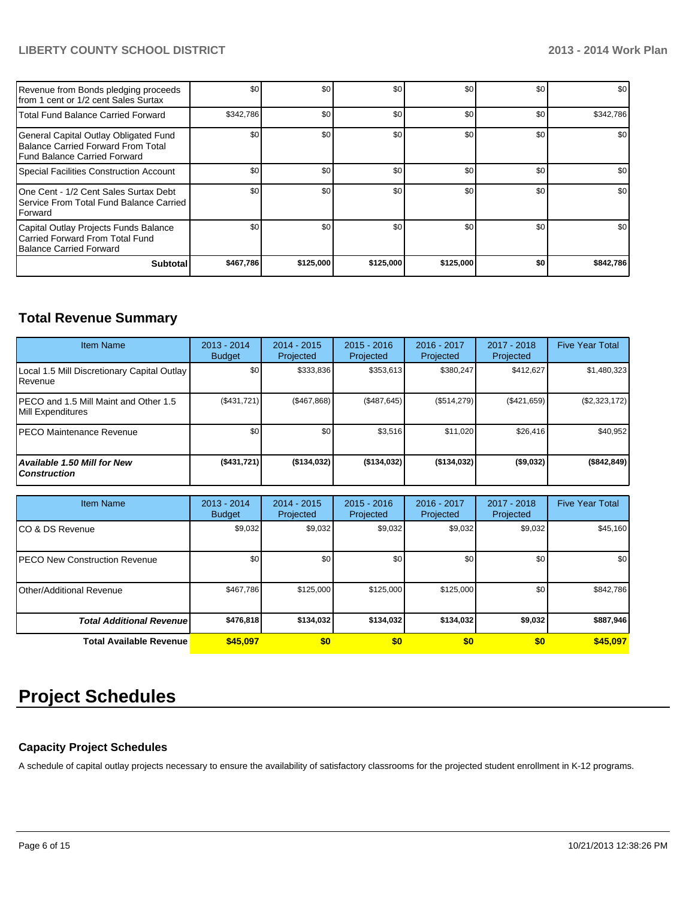#### **LIBERTY COUNTY SCHOOL DISTRICT 2013 - 2014 Work Plan**

| Revenue from Bonds pledging proceeds<br>Ifrom 1 cent or 1/2 cent Sales Surtax                               | \$0       | \$0       | \$0       | \$0       | \$0 | \$0       |
|-------------------------------------------------------------------------------------------------------------|-----------|-----------|-----------|-----------|-----|-----------|
| Total Fund Balance Carried Forward                                                                          | \$342,786 | \$0       | \$0       | \$0       | \$0 | \$342,786 |
| General Capital Outlay Obligated Fund<br>Balance Carried Forward From Total<br>Fund Balance Carried Forward | \$0       | \$0       | \$0       | \$0       | \$0 | \$0       |
| Special Facilities Construction Account                                                                     | \$0       | \$0       | \$0       | \$0       | \$0 | \$0       |
| One Cent - 1/2 Cent Sales Surtax Debt<br>Service From Total Fund Balance Carried<br><b>IForward</b>         | \$0       | \$0       | \$0       | \$0       | \$0 | \$0       |
| Capital Outlay Projects Funds Balance<br>Carried Forward From Total Fund<br>Balance Carried Forward         | \$0       | \$0       | \$0       | \$0       | \$0 | \$0       |
| <b>Subtotal</b>                                                                                             | \$467,786 | \$125,000 | \$125,000 | \$125,000 | \$0 | \$842,786 |

### **Total Revenue Summary**

| <b>Item Name</b>                                            | $2013 - 2014$<br><b>Budget</b> | $2014 - 2015$<br>Projected | $2015 - 2016$<br>Projected | $2016 - 2017$<br>Projected | 2017 - 2018<br>Projected | <b>Five Year Total</b> |
|-------------------------------------------------------------|--------------------------------|----------------------------|----------------------------|----------------------------|--------------------------|------------------------|
| Local 1.5 Mill Discretionary Capital Outlay<br>l Revenue    | \$0                            | \$333.836                  | \$353.613                  | \$380.247                  | \$412.627                | \$1,480,323            |
| IPECO and 1.5 Mill Maint and Other 1.5<br>Mill Expenditures | (\$431,721)                    | (\$467,868)                | (S487.645)                 | (S514, 279)                | (\$421,659)              | (\$2,323,172)          |
| IPECO Maintenance Revenue                                   | \$0                            | \$0 <sub>l</sub>           | \$3,516                    | \$11.020                   | \$26.416                 | \$40,952               |
| <b>Available 1.50 Mill for New</b><br><b>Construction</b>   | $($ \$431,721)                 | ( \$134, 032)              | ( \$134, 032)              | ( \$134, 032)              | ( \$9,032)               | (\$842, 849)           |

| <b>Item Name</b>                 | 2013 - 2014<br><b>Budget</b> | $2014 - 2015$<br>Projected | $2015 - 2016$<br>Projected | 2016 - 2017<br>Projected | 2017 - 2018<br>Projected | <b>Five Year Total</b> |
|----------------------------------|------------------------------|----------------------------|----------------------------|--------------------------|--------------------------|------------------------|
| ICO & DS Revenue                 | \$9,032                      | \$9,032                    | \$9,032                    | \$9,032                  | \$9,032                  | \$45,160               |
| IPECO New Construction Revenue   | \$0                          | \$0                        | \$0                        | \$0                      | \$0                      | \$0                    |
| Other/Additional Revenue         | \$467,786                    | \$125,000                  | \$125,000                  | \$125,000                | \$0                      | \$842,786              |
| <b>Total Additional Revenuel</b> | \$476,818                    | \$134,032                  | \$134,032                  | \$134,032                | \$9,032                  | \$887,946              |
| <b>Total Available Revenue</b>   | \$45,097                     | \$0                        | \$0                        | \$0                      | \$0                      | \$45,097               |

## **Project Schedules**

#### **Capacity Project Schedules**

A schedule of capital outlay projects necessary to ensure the availability of satisfactory classrooms for the projected student enrollment in K-12 programs.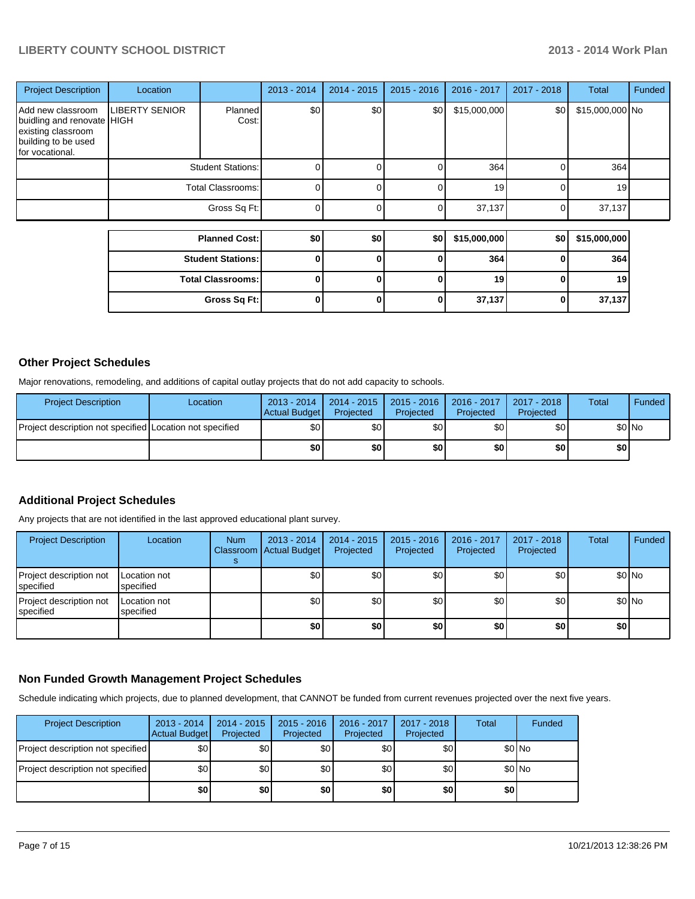#### **LIBERTY COUNTY SCHOOL DISTRICT 2013 - 2014 Work Plan**

| <b>Project Description</b>                                                                                      | Location                 |                          | $2013 - 2014$ | $2014 - 2015$ | $2015 - 2016$ | 2016 - 2017  | 2017 - 2018  | Total           | Funded |
|-----------------------------------------------------------------------------------------------------------------|--------------------------|--------------------------|---------------|---------------|---------------|--------------|--------------|-----------------|--------|
| Add new classroom<br>buidling and renovate HIGH<br>existing classroom<br>building to be used<br>for vocational. | <b>LIBERTY SENIOR</b>    | Planned<br>Cost:         | \$0           | \$0           | \$0           | \$15,000,000 | \$0          | \$15,000,000 No |        |
|                                                                                                                 |                          | <b>Student Stations:</b> | ი             |               |               | 364          | 0            | 364             |        |
|                                                                                                                 | <b>Total Classrooms:</b> |                          | 0             |               | 0             | 19           | 0            | 19              |        |
|                                                                                                                 |                          | Gross Sq Ft:             | $\Omega$      |               | 0             | 37,137       | 0            | 37,137          |        |
|                                                                                                                 |                          | <b>Planned Cost:</b>     | \$0           | \$0           | \$0           | \$15,000,000 | \$0          | \$15,000,000    |        |
|                                                                                                                 |                          | <b>Student Stations:</b> | $\bf{0}$      |               | 0             | 364          | 0            | 364             |        |
|                                                                                                                 |                          | <b>Total Classrooms:</b> | 0             | ŋ             | $\bf{0}$      | 19           | 0            | 19              |        |
|                                                                                                                 |                          | Gross Sq Ft:             | 0             | 0             | 0             | 37,137       | $\mathbf{0}$ | 37,137          |        |

#### **Other Project Schedules**

Major renovations, remodeling, and additions of capital outlay projects that do not add capacity to schools.

| <b>Project Description</b>                               | Location | 2013 - 2014<br>Actual Budget | 2014 - 2015  <br>Projected | $2015 - 2016$<br>Projected | $2016 - 2017$<br>Projected | 2017 - 2018  <br>Projected | Total  | <b>Funded</b> |
|----------------------------------------------------------|----------|------------------------------|----------------------------|----------------------------|----------------------------|----------------------------|--------|---------------|
| Project description not specified Location not specified |          | \$0                          | \$0I                       | \$0                        | \$0 <sub>l</sub>           | \$0                        | \$0 No |               |
|                                                          |          | \$0                          | \$0                        | \$0                        | \$0                        | \$0                        | \$٥١   |               |

#### **Additional Project Schedules**

Any projects that are not identified in the last approved educational plant survey.

| <b>Project Description</b>           | Location                  | <b>Num</b> | $2013 - 2014$<br>Classroom   Actual Budget | $2014 - 2015$<br>Projected | 2015 - 2016<br>Projected | 2016 - 2017<br>Projected | 2017 - 2018<br>Projected | Total | Funded  |
|--------------------------------------|---------------------------|------------|--------------------------------------------|----------------------------|--------------------------|--------------------------|--------------------------|-------|---------|
| Project description not<br>specified | Location not<br>specified |            | \$0                                        | \$0 <sub>1</sub>           | \$0                      | \$0 <sub>1</sub>         | \$0                      |       | \$0 No  |
| Project description not<br>specified | Location not<br>specified |            | \$0 <sub>1</sub>                           | \$0                        | \$0                      | \$0                      | \$0                      |       | $$0$ No |
|                                      |                           |            | \$0                                        | \$0                        | \$0                      | \$0                      | \$0                      | \$0   |         |

#### **Non Funded Growth Management Project Schedules**

Schedule indicating which projects, due to planned development, that CANNOT be funded from current revenues projected over the next five years.

| <b>Project Description</b>        | $2013 - 2014$<br>Actual Budget | $2014 - 2015$<br>Projected | $2015 - 2016$<br>Projected | 2016 - 2017<br>Projected | 2017 - 2018<br>Projected | Total | Funded |
|-----------------------------------|--------------------------------|----------------------------|----------------------------|--------------------------|--------------------------|-------|--------|
| Project description not specified | \$0                            | \$0                        | \$٥Ι                       | \$0                      | \$0 <sub>1</sub>         |       | \$0 No |
| Project description not specified | \$0                            | \$0                        | \$٥Ι                       | \$0                      | \$0 <sub>1</sub>         |       | \$0 No |
|                                   | \$0                            | \$0                        | \$0                        | \$0                      | \$0                      | \$0   |        |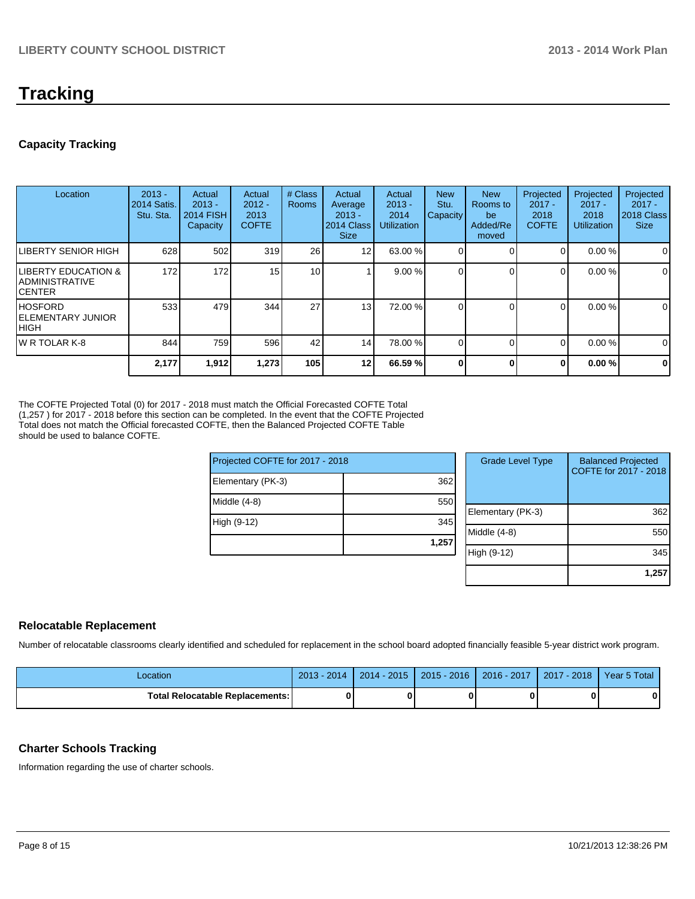## **Tracking**

#### **Capacity Tracking**

| Location                                                            | $2013 -$<br>2014 Satis.<br>Stu. Sta. | Actual<br>$2013 -$<br><b>2014 FISH</b><br>Capacity | Actual<br>$2012 -$<br>2013<br><b>COFTE</b> | # Class<br><b>Rooms</b> | Actual<br>Average<br>$2013 -$<br>2014 Class<br><b>Size</b> | Actual<br>$2013 -$<br>2014<br><b>Utilization</b> | <b>New</b><br>Stu.<br><b>Capacity</b> | <b>New</b><br>Rooms to<br>be<br>Added/Re<br>moved | Projected<br>$2017 -$<br>2018<br><b>COFTE</b> | Projected<br>$2017 -$<br>2018<br><b>Utilization</b> | Projected<br>$2017 -$<br>2018 Class<br><b>Size</b> |
|---------------------------------------------------------------------|--------------------------------------|----------------------------------------------------|--------------------------------------------|-------------------------|------------------------------------------------------------|--------------------------------------------------|---------------------------------------|---------------------------------------------------|-----------------------------------------------|-----------------------------------------------------|----------------------------------------------------|
| <b>LIBERTY SENIOR HIGH</b>                                          | 628                                  | 502                                                | 319                                        | 26                      | 12 <sub>1</sub>                                            | 63.00 %                                          |                                       |                                                   | 0                                             | 0.00%                                               | $\mathbf 0$                                        |
| <b>LIBERTY EDUCATION &amp;</b><br>IADMINISTRATIVE<br><b>ICENTER</b> | 172                                  | 172                                                | 15                                         | 10 <sup>1</sup>         |                                                            | 9.00%                                            |                                       |                                                   | $\Omega$                                      | 0.00%                                               | $\mathbf 0$                                        |
| IHOSFORD<br><b>IELEMENTARY JUNIOR</b><br>Ініgн                      | 533                                  | 479                                                | 344                                        | 27                      | 13                                                         | 72.00 %                                          |                                       |                                                   | $\Omega$                                      | 0.00%                                               | 0                                                  |
| IW R TOLAR K-8                                                      | 844                                  | 759                                                | 596                                        | 42                      | 14                                                         | 78.00 %                                          |                                       |                                                   | $\Omega$                                      | 0.00%                                               | 0                                                  |
|                                                                     | 2,177                                | 1,912                                              | 1,273                                      | 105                     | 12 <sub>l</sub>                                            | 66.59 %                                          |                                       | 0                                                 | $\bf{0}$                                      | 0.00%                                               | $\mathbf 0$                                        |

The COFTE Projected Total (0) for 2017 - 2018 must match the Official Forecasted COFTE Total (1,257 ) for 2017 - 2018 before this section can be completed. In the event that the COFTE Projected Total does not match the Official forecasted COFTE, then the Balanced Projected COFTE Table should be used to balance COFTE.

| Projected COFTE for 2017 - 2018 |       | <b>Grade Level Type</b> | <b>Balanced Projected</b><br>COFTE for 2017 - 2018 |
|---------------------------------|-------|-------------------------|----------------------------------------------------|
| Elementary (PK-3)               | 362   |                         |                                                    |
| Middle (4-8)                    | 550   |                         |                                                    |
|                                 |       | Elementary (PK-3)       | 362                                                |
| High (9-12)                     | 345   |                         |                                                    |
|                                 |       | Middle (4-8)            | 550                                                |
|                                 | 1,257 |                         |                                                    |
|                                 |       | High (9-12)             | 345                                                |
|                                 |       |                         |                                                    |

#### **Relocatable Replacement**

Number of relocatable classrooms clearly identified and scheduled for replacement in the school board adopted financially feasible 5-year district work program.

| Location                               | $2013 - 2014$ | $2014 - 2015$ | $2015 - 2016$ | $2016 - 2017$ | 2017 - 2018 | Year 5 Total |
|----------------------------------------|---------------|---------------|---------------|---------------|-------------|--------------|
| <b>Total Relocatable Replacements:</b> |               |               |               |               |             |              |

#### **Charter Schools Tracking**

Information regarding the use of charter schools.

**1,257**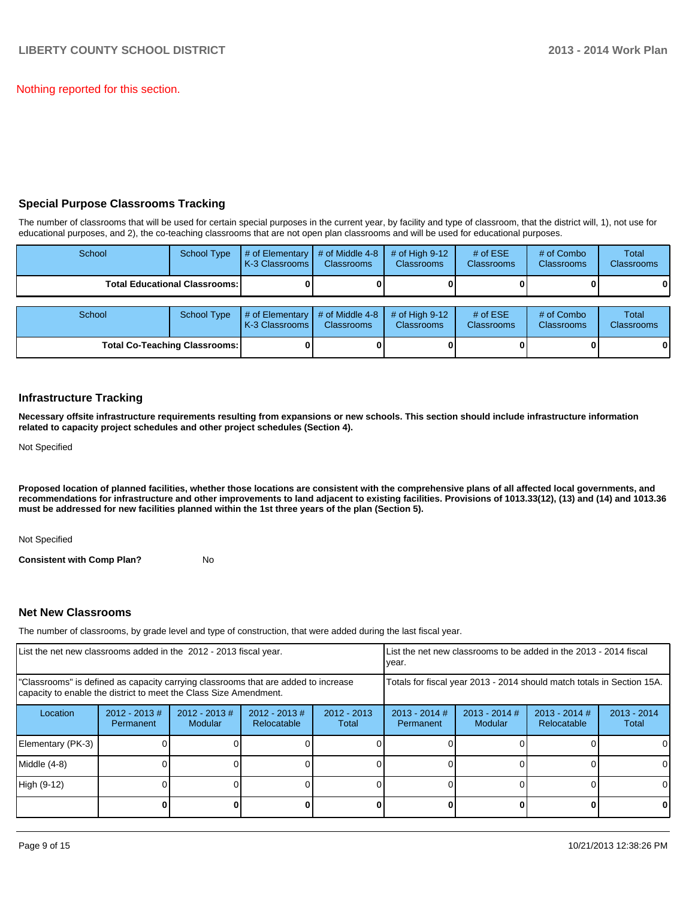Nothing reported for this section.

#### **Special Purpose Classrooms Tracking**

The number of classrooms that will be used for certain special purposes in the current year, by facility and type of classroom, that the district will, 1), not use for educational purposes, and 2), the co-teaching classrooms that are not open plan classrooms and will be used for educational purposes.

| School                               | <b>School Type</b>                     | # of Elementary<br>K-3 Classrooms | # of Middle 4-8<br><b>Classrooms</b> | # of High $9-12$<br><b>Classrooms</b> | # of $ESE$<br>Classrooms        | # of Combo<br><b>Classrooms</b> | Total<br><b>Classrooms</b> |
|--------------------------------------|----------------------------------------|-----------------------------------|--------------------------------------|---------------------------------------|---------------------------------|---------------------------------|----------------------------|
|                                      | <b>Total Educational Classrooms: I</b> |                                   |                                      |                                       |                                 |                                 | 01                         |
| School                               | <b>School Type</b>                     | # of Elementary<br>K-3 Classrooms | # of Middle 4-8<br><b>Classrooms</b> | # of High $9-12$<br><b>Classrooms</b> | # of $ESE$<br><b>Classrooms</b> | # of Combo<br><b>Classrooms</b> | Total<br><b>Classrooms</b> |
| <b>Total Co-Teaching Classrooms:</b> |                                        |                                   |                                      |                                       |                                 |                                 | 01                         |

#### **Infrastructure Tracking**

**Necessary offsite infrastructure requirements resulting from expansions or new schools. This section should include infrastructure information related to capacity project schedules and other project schedules (Section 4).**

Not Specified

**Proposed location of planned facilities, whether those locations are consistent with the comprehensive plans of all affected local governments, and recommendations for infrastructure and other improvements to land adjacent to existing facilities. Provisions of 1013.33(12), (13) and (14) and 1013.36 must be addressed for new facilities planned within the 1st three years of the plan (Section 5).**

Not Specified

**Consistent with Comp Plan?** No

#### **Net New Classrooms**

The number of classrooms, by grade level and type of construction, that were added during the last fiscal year.

| List the net new classrooms added in the 2012 - 2013 fiscal year.                                                                                       |                              |                            |                                |                        | List the net new classrooms to be added in the 2013 - 2014 fiscal<br>Ivear.                  |  |  |                        |
|---------------------------------------------------------------------------------------------------------------------------------------------------------|------------------------------|----------------------------|--------------------------------|------------------------|----------------------------------------------------------------------------------------------|--|--|------------------------|
| "Classrooms" is defined as capacity carrying classrooms that are added to increase<br>capacity to enable the district to meet the Class Size Amendment. |                              |                            |                                |                        | Totals for fiscal year 2013 - 2014 should match totals in Section 15A.                       |  |  |                        |
| Location                                                                                                                                                | $2012 - 2013$ #<br>Permanent | $2012 - 2013$ #<br>Modular | $2012 - 2013$ #<br>Relocatable | $2012 - 2013$<br>Total | $2013 - 2014$ #<br>$2013 - 2014$ #<br>$2013 - 2014$ #<br>Modular<br>Relocatable<br>Permanent |  |  | $2013 - 2014$<br>Total |
| Elementary (PK-3)                                                                                                                                       |                              |                            |                                |                        |                                                                                              |  |  | $\Omega$               |
| Middle (4-8)                                                                                                                                            |                              |                            |                                |                        |                                                                                              |  |  | $\Omega$               |
| High (9-12)                                                                                                                                             |                              |                            |                                |                        |                                                                                              |  |  | $\Omega$               |
|                                                                                                                                                         |                              |                            |                                |                        |                                                                                              |  |  | 0                      |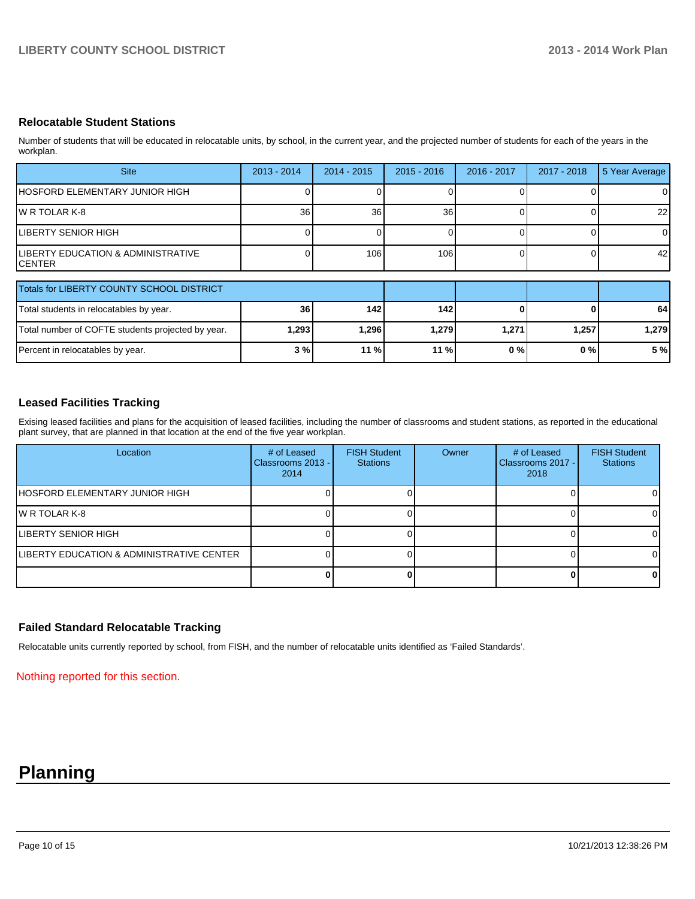#### **Relocatable Student Stations**

Number of students that will be educated in relocatable units, by school, in the current year, and the projected number of students for each of the years in the workplan.

| <b>Site</b>                                               | $2013 - 2014$ | $2014 - 2015$ | $2015 - 2016$   | 2016 - 2017 | 2017 - 2018 | 5 Year Average |
|-----------------------------------------------------------|---------------|---------------|-----------------|-------------|-------------|----------------|
| HOSFORD ELEMENTARY JUNIOR HIGH                            |               |               |                 |             |             | 0              |
| IW R TOLAR K-8                                            | 36            | 36            | 36 <sub>1</sub> |             |             | 22             |
| LIBERTY SENIOR HIGH                                       |               |               |                 |             |             | $\Omega$       |
| <b>ILIBERTY EDUCATION &amp; ADMINISTRATIVE</b><br>ICENTER |               | 106           | 106             |             |             | 42             |

| Totals for LIBERTY COUNTY SCHOOL DISTRICT         |         |       |        |       |       |       |
|---------------------------------------------------|---------|-------|--------|-------|-------|-------|
|                                                   |         |       |        |       |       |       |
| Total students in relocatables by year.           | 36 I    | 142   | 142    |       |       | 64    |
| Total number of COFTE students projected by year. | ا 293.1 | 1,296 | 1.279  | 1.271 | 1.257 | 1.279 |
| Percent in relocatables by year.                  | 3 % I   | 11%   | $11\%$ | 0 % I | 0 % I | 5 %   |

#### **Leased Facilities Tracking**

Exising leased facilities and plans for the acquisition of leased facilities, including the number of classrooms and student stations, as reported in the educational plant survey, that are planned in that location at the end of the five year workplan.

| Location                                   | # of Leased<br>Classrooms 2013 - I<br>2014 | <b>FISH Student</b><br><b>Stations</b> | Owner | # of Leased<br>Classrooms 2017 -<br>2018 | <b>FISH Student</b><br><b>Stations</b> |
|--------------------------------------------|--------------------------------------------|----------------------------------------|-------|------------------------------------------|----------------------------------------|
| <b>IHOSFORD ELEMENTARY JUNIOR HIGH</b>     |                                            |                                        |       |                                          | $\Omega$                               |
| IW R TOLAR K-8                             |                                            |                                        |       |                                          | $\overline{0}$                         |
| ILIBERTY SENIOR HIGH                       |                                            |                                        |       |                                          | $\Omega$                               |
| ILIBERTY EDUCATION & ADMINISTRATIVE CENTER |                                            |                                        |       |                                          | $\Omega$                               |
|                                            |                                            |                                        |       |                                          | 0                                      |

#### **Failed Standard Relocatable Tracking**

Relocatable units currently reported by school, from FISH, and the number of relocatable units identified as 'Failed Standards'.

Nothing reported for this section.

## **Planning**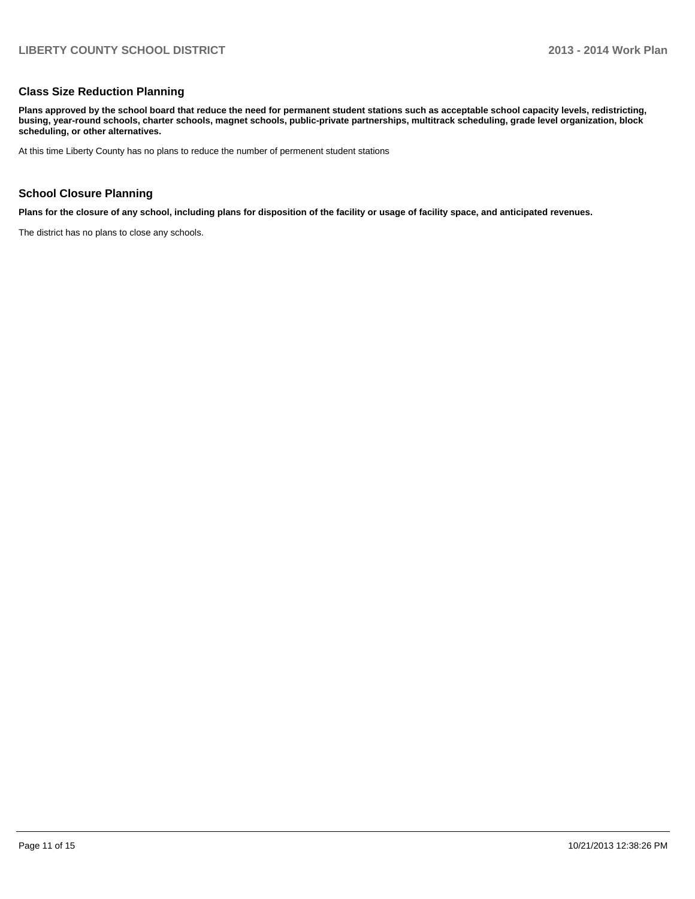#### **Class Size Reduction Planning**

**Plans approved by the school board that reduce the need for permanent student stations such as acceptable school capacity levels, redistricting, busing, year-round schools, charter schools, magnet schools, public-private partnerships, multitrack scheduling, grade level organization, block scheduling, or other alternatives.**

At this time Liberty County has no plans to reduce the number of permenent student stations

#### **School Closure Planning**

**Plans for the closure of any school, including plans for disposition of the facility or usage of facility space, and anticipated revenues.**

The district has no plans to close any schools.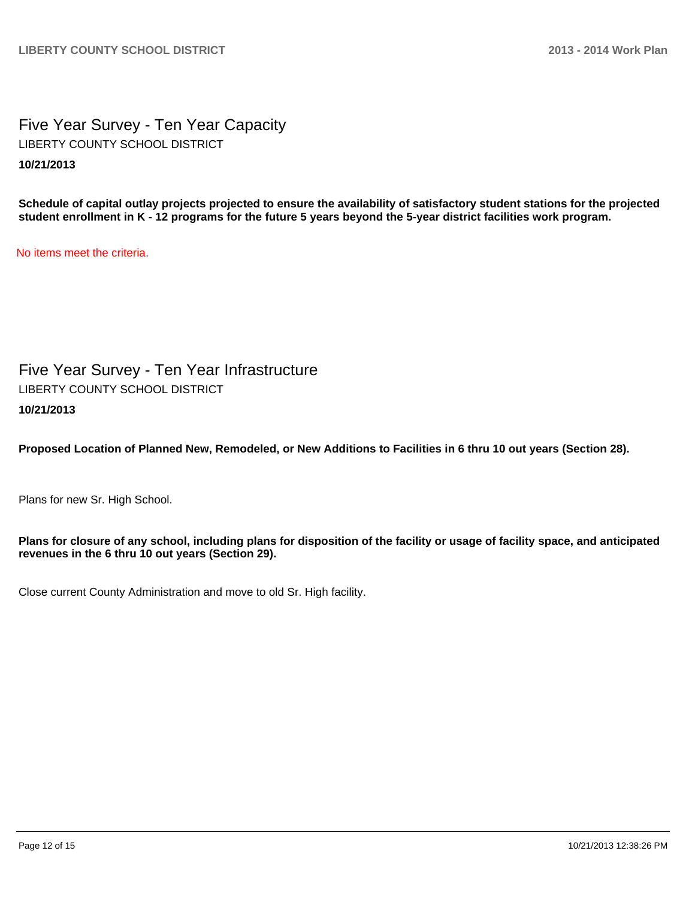Five Year Survey - Ten Year Capacity **10/21/2013** LIBERTY COUNTY SCHOOL DISTRICT

**Schedule of capital outlay projects projected to ensure the availability of satisfactory student stations for the projected student enrollment in K - 12 programs for the future 5 years beyond the 5-year district facilities work program.**

No items meet the criteria.

Five Year Survey - Ten Year Infrastructure **10/21/2013** LIBERTY COUNTY SCHOOL DISTRICT

**Proposed Location of Planned New, Remodeled, or New Additions to Facilities in 6 thru 10 out years (Section 28).**

Plans for new Sr. High School.

**Plans for closure of any school, including plans for disposition of the facility or usage of facility space, and anticipated revenues in the 6 thru 10 out years (Section 29).**

Close current County Administration and move to old Sr. High facility.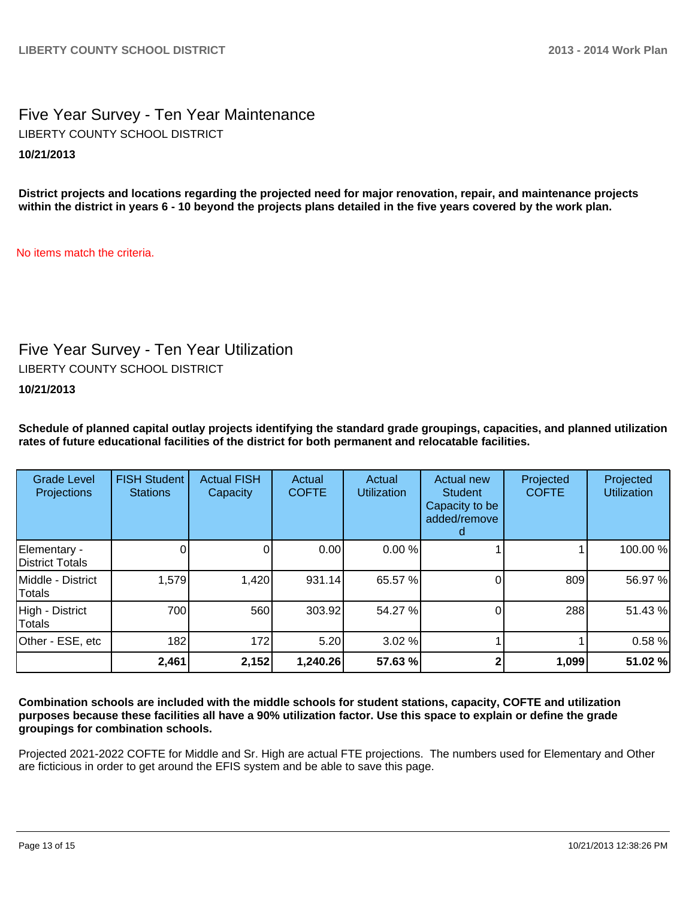### Five Year Survey - Ten Year Maintenance **10/21/2013** LIBERTY COUNTY SCHOOL DISTRICT

**District projects and locations regarding the projected need for major renovation, repair, and maintenance projects within the district in years 6 - 10 beyond the projects plans detailed in the five years covered by the work plan.**

No items match the criteria.

### Five Year Survey - Ten Year Utilization

LIBERTY COUNTY SCHOOL DISTRICT

**10/21/2013**

**Schedule of planned capital outlay projects identifying the standard grade groupings, capacities, and planned utilization rates of future educational facilities of the district for both permanent and relocatable facilities.**

| <b>Grade Level</b><br>Projections | <b>FISH Student</b><br><b>Stations</b> | <b>Actual FISH</b><br>Capacity | Actual<br><b>COFTE</b> | Actual<br><b>Utilization</b> | Actual new<br><b>Student</b><br>Capacity to be<br>added/remove | Projected<br><b>COFTE</b> | Projected<br><b>Utilization</b> |
|-----------------------------------|----------------------------------------|--------------------------------|------------------------|------------------------------|----------------------------------------------------------------|---------------------------|---------------------------------|
| Elementary -<br>District Totals   |                                        | 0                              | 0.00                   | 0.00%                        |                                                                |                           | 100.00%                         |
| Middle - District<br>Totals       | 1,579                                  | 1,420                          | 931.14                 | 65.57 %                      |                                                                | 809                       | 56.97 %                         |
| High - District<br><b>Totals</b>  | 700                                    | 560                            | 303.92                 | 54.27 %                      |                                                                | 288                       | 51.43%                          |
| Other - ESE, etc                  | 182                                    | 172                            | 5.20                   | 3.02 %                       |                                                                |                           | 0.58%                           |
|                                   | 2,461                                  | 2,152                          | 1,240.26               | 57.63 %                      |                                                                | 1,099                     | 51.02%                          |

**Combination schools are included with the middle schools for student stations, capacity, COFTE and utilization purposes because these facilities all have a 90% utilization factor. Use this space to explain or define the grade groupings for combination schools.**

Projected 2021-2022 COFTE for Middle and Sr. High are actual FTE projections. The numbers used for Elementary and Other are ficticious in order to get around the EFIS system and be able to save this page.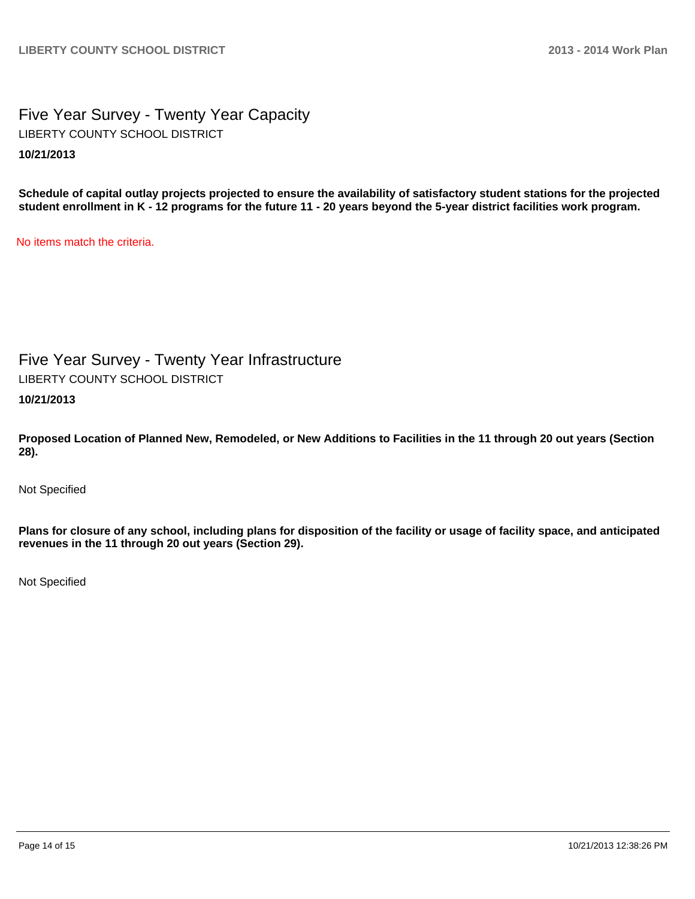Five Year Survey - Twenty Year Capacity **10/21/2013** LIBERTY COUNTY SCHOOL DISTRICT

**Schedule of capital outlay projects projected to ensure the availability of satisfactory student stations for the projected student enrollment in K - 12 programs for the future 11 - 20 years beyond the 5-year district facilities work program.**

No items match the criteria.

Five Year Survey - Twenty Year Infrastructure LIBERTY COUNTY SCHOOL DISTRICT

**10/21/2013**

**Proposed Location of Planned New, Remodeled, or New Additions to Facilities in the 11 through 20 out years (Section 28).**

Not Specified

**Plans for closure of any school, including plans for disposition of the facility or usage of facility space, and anticipated revenues in the 11 through 20 out years (Section 29).**

Not Specified